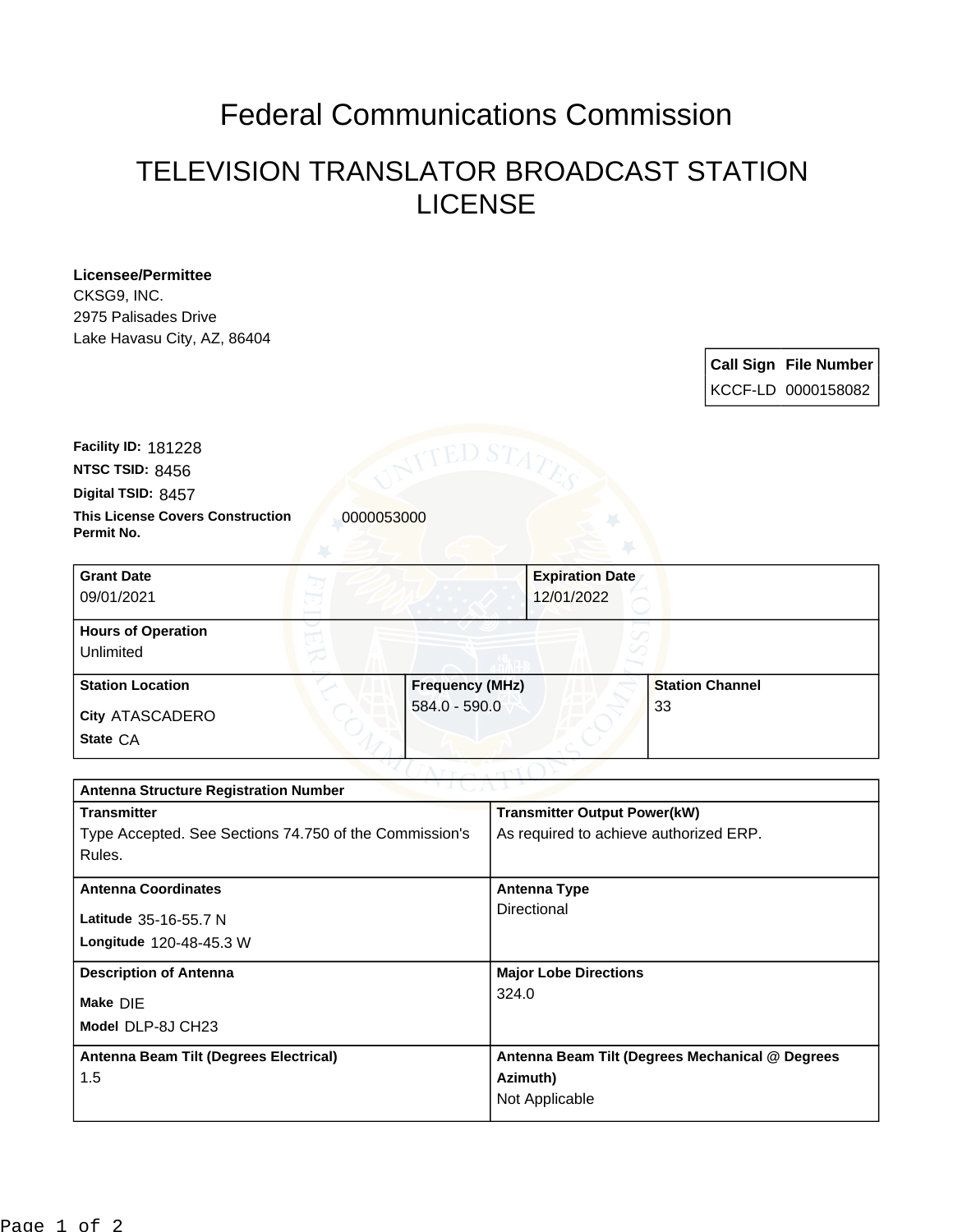## Federal Communications Commission

## TELEVISION TRANSLATOR BROADCAST STATION LICENSE

**Licensee/Permittee** CKSG9, INC. 2975 Palisades Drive Lake Havasu City, AZ, 86404

> **Call Sign File Number** KCCF-LD 0000158082

**This License Covers Construction 10000053000 Permit No. Digital TSID:** 8457 **NTSC TSID:** 8456 **Facility ID:** 181228

| <b>Grant Date</b><br>09/01/2021        | 12/01/2022             | <b>Expiration Date</b> |  |
|----------------------------------------|------------------------|------------------------|--|
| <b>Hours of Operation</b><br>Unlimited |                        |                        |  |
| <b>Station Location</b>                | <b>Frequency (MHz)</b> | <b>Station Channel</b> |  |
| <b>City ATASCADERO</b><br>State CA     | $584.0 - 590.0$        | 33                     |  |

| <b>Antenna Structure Registration Number</b>           |                                                 |  |  |  |
|--------------------------------------------------------|-------------------------------------------------|--|--|--|
| <b>Transmitter</b>                                     | <b>Transmitter Output Power(kW)</b>             |  |  |  |
| Type Accepted. See Sections 74.750 of the Commission's | As required to achieve authorized ERP.          |  |  |  |
| Rules.                                                 |                                                 |  |  |  |
| <b>Antenna Coordinates</b>                             | <b>Antenna Type</b>                             |  |  |  |
|                                                        | Directional                                     |  |  |  |
| Latitude 35-16-55.7 N                                  |                                                 |  |  |  |
| Longitude 120-48-45.3 W                                |                                                 |  |  |  |
| <b>Description of Antenna</b>                          | <b>Major Lobe Directions</b>                    |  |  |  |
| Make DIE                                               | 324.0                                           |  |  |  |
| Model DLP-8J CH23                                      |                                                 |  |  |  |
| Antenna Beam Tilt (Degrees Electrical)                 | Antenna Beam Tilt (Degrees Mechanical @ Degrees |  |  |  |
| 1.5                                                    | Azimuth)                                        |  |  |  |
|                                                        | Not Applicable                                  |  |  |  |
|                                                        |                                                 |  |  |  |